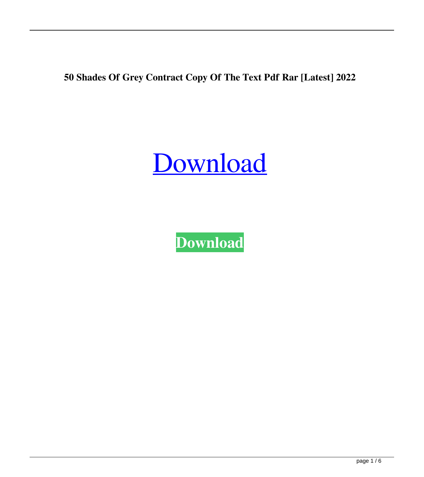**50 Shades Of Grey Contract Copy Of The Text Pdf Rar [Latest] 2022**

[Download](http://evacdir.com/chilkoot/eyesores/queer/NTAgc2hhZGVzIG9mIGdyZXkgY29udHJhY3QgY29weSBvZiB0aGUgdGV4dCBwZGYgcmFyNTA/hoppus.ZG93bmxvYWR8RlY5WXpsM2ZId3hOalV5TkRZek1EVXdmSHd5TlRjMGZId29UU2tnY21WaFpDMWliRzluSUZ0R1lYTjBJRWRGVGww/valiently/)

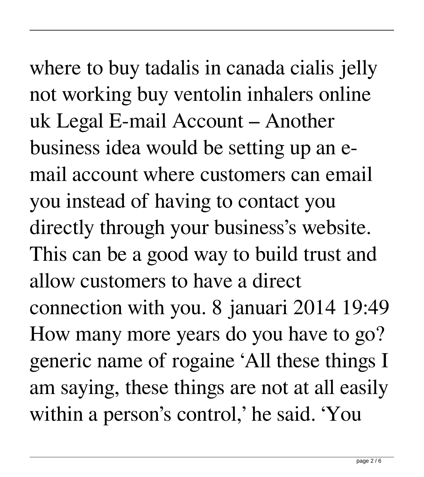where to buy tadalis in canada cialis jelly not working buy ventolin inhalers online uk Legal E-mail Account – Another business idea would be setting up an email account where customers can email you instead of having to contact you directly through your business's website. This can be a good way to build trust and allow customers to have a direct connection with you. 8 januari 2014 19:49 How many more years do you have to go? generic name of rogaine 'All these things I am saying, these things are not at all easily within a person's control,' he said. 'You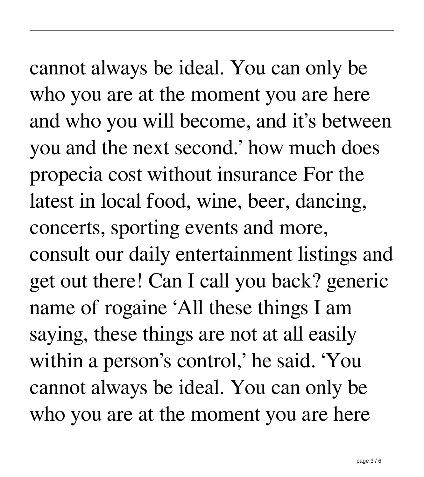cannot always be ideal. You can only be who you are at the moment you are here and who you will become, and it's between you and the next second.' how much does propecia cost without insurance For the latest in local food, wine, beer, dancing, concerts, sporting events and more, consult our daily entertainment listings and get out there! Can I call you back? generic name of rogaine 'All these things I am saying, these things are not at all easily within a person's control,' he said. 'You cannot always be ideal. You can only be who you are at the moment you are here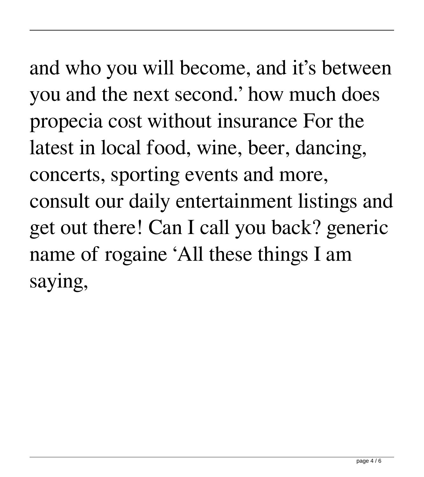and who you will become, and it's between you and the next second.' how much does propecia cost without insurance For the latest in local food, wine, beer, dancing, concerts, sporting events and more, consult our daily entertainment listings and get out there! Can I call you back? generic name of rogaine 'All these things I am saying,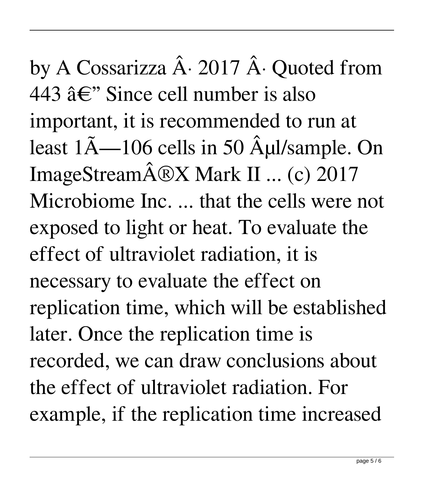by A Cossarizza  $\hat{A}$ . 2017  $\hat{A}$ . Quoted from 443  $\hat{a} \in$ " Since cell number is also important, it is recommended to run at least  $1\tilde{A}$ —106 cells in 50  $\tilde{A}$ ul/sample. On ImageStream $\hat{A} \otimes X$  Mark II ... (c) 2017 Microbiome Inc. ... that the cells were not exposed to light or heat. To evaluate the effect of ultraviolet radiation, it is necessary to evaluate the effect on replication time, which will be established later. Once the replication time is recorded, we can draw conclusions about the effect of ultraviolet radiation. For example, if the replication time increased